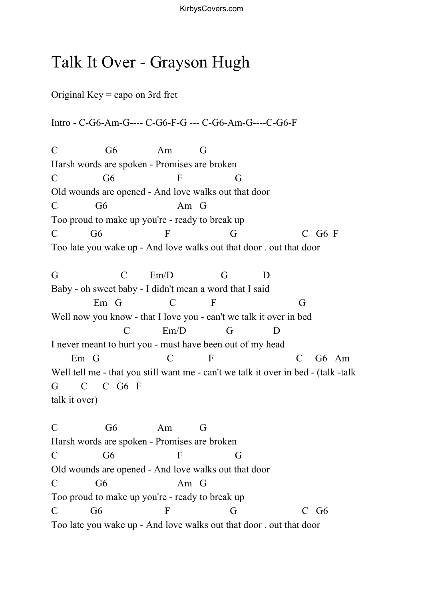## Talk It Over - Grayson Hugh

Original Key = capo on 3rd fret

Intro - C-G6-Am-G---- C-G6-F-G --- C-G6-Am-G----C-G6-F

C G6 Am G Harsh words are spoken - Promises are broken  $C$  G6 F G Old wounds are opened - And love walks out that door C G6 Am G Too proud to make up you're - ready to break up  $C$  G6 F G C G6 F Too late you wake up - And love walks out that door . out that door

G C Em/D G D Baby - oh sweet baby - I didn't mean a word that I said Em G C F G Well now you know - that I love you - can't we talk it over in bed C Em/D G D I never meant to hurt you - must have been out of my head Em G C F C G6 Am Well tell me - that you still want me - can't we talk it over in bed - (talk -talk G C C G6 F talk it over)

C G6 Am G Harsh words are spoken - Promises are broken  $C$  G6 F G Old wounds are opened - And love walks out that door C G6 Am G Too proud to make up you're - ready to break up C G6 F G C G6 Too late you wake up - And love walks out that door . out that door